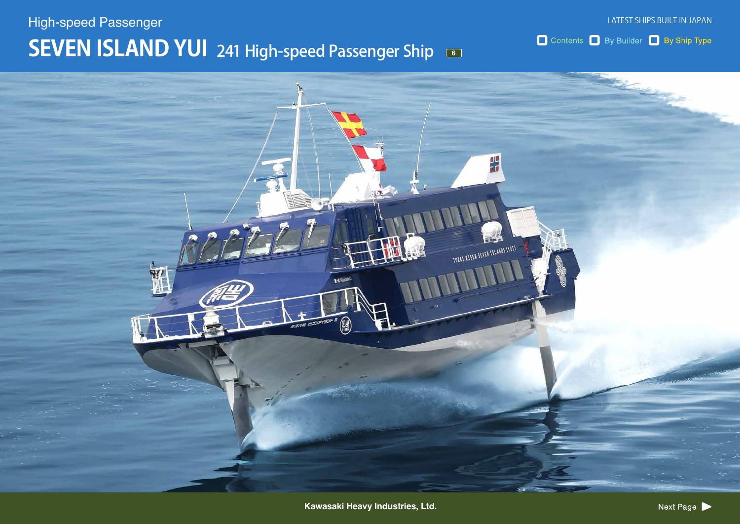## **6** SEVEN ISLAND YUI 241 High-speed Passenger Ship High-speed Passenger

Contents By Builder By Ship Type